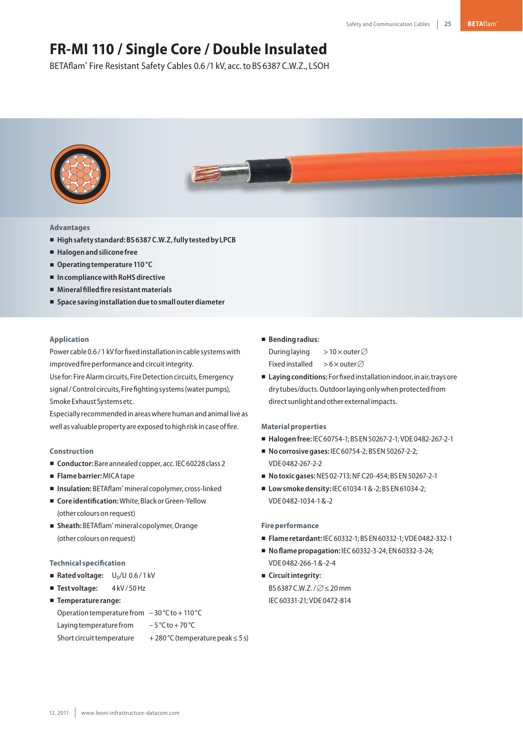# **FR-MI 110 / Single Core / Double Insulated**

BETAflam® Fire Resistant Safety Cables 0.6 /1 kV, acc.to BS 6387 C.W.Z., LSOH



# **Advantages**

- **Highsafety standard:BS6387C.W.Z,fully testedby LPCB**
- **Halogenandsilicone free**
- Operating temperature 110 °C
- In compliance with RoHS directive
- **Mineralfilledfire resistantmaterials**
- **Space savinginstallationdue tosmallouterdiameter**

# **Application**

Power cable 0.6 / 1 kV for fixed installation in cable systems with improved fire performance and circuit integrity.

Use for: Fire Alarm circuits, Fire Detection circuits, Emergency signal / Control circuits, Fire fighting systems (water pumps), Smoke Exhaust Systems etc.

Especially recommendedinareaswherehumanandanimal live as well as valuable property are exposed to high risk in case of fire.

#### **Construction**

- Conductor: Bare annealed copper, acc. IEC 60228 class 2
- **Flamebarrier:**MICAtape
- Insulation: BETAflam<sup>®</sup> mineral copolymer, cross-linked
- Core identification: White, Black or Green-Yellow (other colours onrequest)
- Sheath: BETAflam<sup>®</sup> mineral copolymer, Orange (other colours onrequest)

## **Technical specification**

- Rated voltage: U<sub>0</sub>/U 0.6/1 kV
- **Test voltage:** 4 kV/ 50 Hz
- **Temperature range:**

Operation temperature from  $-30$  °C to + 110 °C Laying temperature from  $-5^{\circ}$ C to + 70 °C Short circuit temperature  $+280\degree C$  (temperature peak ≤ 5 s)

### - **Bendingradius:**

During laying > 10  $\times$  outer  $\varnothing$ Fixed installed >6 $\times$ outer $\varnothing$ 

■ Laying conditions: For fixed installation indoor, in air, trays ore dry tubes/ducts. Outdoor laying only when protected from direct sunlight and other external impacts.

#### **Materialproperties**

- **Halogenfree:** IEC60754-1;BS EN50267-2-1;VDE 0482-267-2-1
- **No corrosive gases: IEC 60754-2; BS EN 50267-2-2;** VDE 0482-267-2-2
- **Notoxicgases:**NES 02-713;NFC20-454;BS EN50267-2-1
- Low smoke density: IEC 61034-1 & -2; BS EN 61034-2; VDE 0482-1034-1&-2

# **Fire performance**

- **Flame retardant:** IEC60332-1;BS EN60332-1;VDE 0482-332-1
- **No flame propagation: IEC 60332-3-24; EN 60332-3-24;** VDE 0482-266-1&-2-4
- **E** Circuit integrity: BS 6387 C.W.Z./ $\varnothing$   $\leq$  20 mm IEC60331-21;VDE 0472-814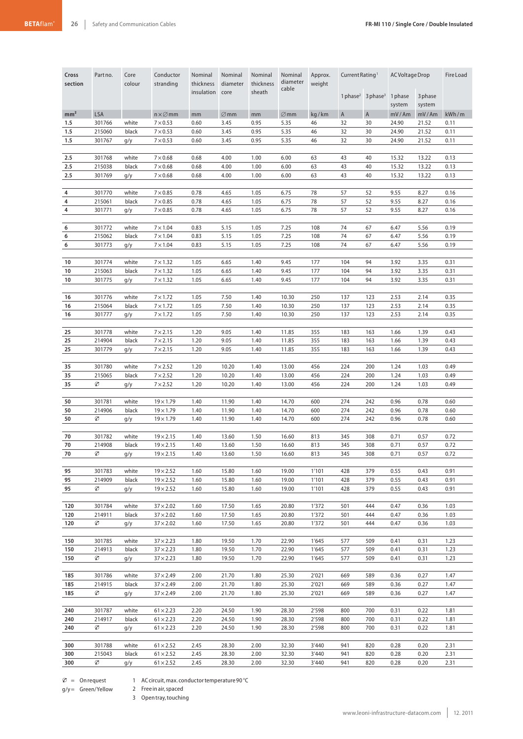| Cross<br>section | Part no.         | Core<br>colour | Conductor<br>stranding               | Nominal<br>thickness | Nominal<br>diameter | Nominal<br>thickness | Nominal<br>diameter | Approx.<br>weight | Current Rating <sup>1</sup> |                                           | AC Voltage Drop   |                   | Fire Load    |
|------------------|------------------|----------------|--------------------------------------|----------------------|---------------------|----------------------|---------------------|-------------------|-----------------------------|-------------------------------------------|-------------------|-------------------|--------------|
|                  |                  |                |                                      | insulation           | core                | sheath               | cable               |                   |                             | 1 phase <sup>2</sup> 3 phase <sup>3</sup> | 1 phase<br>system | 3 phase<br>system |              |
| mm <sup>2</sup>  | <b>LSA</b>       |                | $n \times \varnothing$ mm            | mm                   | $\varnothing$ mm    | mm                   | $\varnothing$ mm    | kg/km             | $\overline{A}$              | $\overline{A}$                            | mV/Am             | mV/Am             | kWh/m        |
| 1.5              | 301766           | white          | $7\times 0.53$                       | 0.60                 | 3.45                | 0.95                 | 5.35                | 46                | 32                          | 30                                        | 24.90             | 21.52             | 0.11         |
| 1.5              | 215060           | black          | $7\times 0.53$                       | 0.60                 | 3.45                | 0.95                 | 5.35                | 46                | 32                          | 30                                        | 24.90             | 21.52             | 0.11         |
| 1.5              | 301767           | g/y            | $7\times 0.53$                       | 0.60                 | 3.45                | 0.95                 | 5.35                | 46                | 32                          | 30                                        | 24.90             | 21.52             | 0.11         |
| 2.5              | 301768           | white          | $7\times0.68$                        |                      | 4.00                | 1.00                 | 6.00                | 63                | 43                          | 40                                        | 15.32             | 13.22             | 0.13         |
| 2.5              | 215038           | black          | $7\times0.68$                        | 0.68<br>0.68         | 4.00                | 1.00                 | 6.00                | 63                | 43                          | 40                                        | 15.32             | 13.22             | 0.13         |
| 2.5              | 301769           | g/y            | $7\times0.68$                        | 0.68                 | 4.00                | 1.00                 | 6.00                | 63                | 43                          | 40                                        | 15.32             | 13.22             | 0.13         |
|                  |                  |                |                                      |                      |                     |                      |                     |                   |                             |                                           |                   |                   |              |
| 4                | 301770           | white          | $7 \times 0.85$                      | 0.78                 | 4.65                | 1.05                 | 6.75                | 78                | 57                          | 52                                        | 9.55              | 8.27              | 0.16         |
| 4                | 215061           | black          | $7 \times 0.85$                      | 0.78                 | 4.65                | 1.05                 | 6.75                | 78                | 57                          | 52                                        | 9.55              | 8.27              | 0.16         |
| 4                | 301771           | g/y            | $7 \times 0.85$                      | 0.78                 | 4.65                | 1.05                 | 6.75                | 78                | 57                          | 52                                        | 9.55              | 8.27              | 0.16         |
|                  |                  |                |                                      |                      |                     |                      |                     |                   |                             |                                           |                   |                   |              |
| 6                | 301772           | white          | $7 \times 1.04$                      | 0.83                 | 5.15                | 1.05                 | 7.25                | 108               | 74                          | 67                                        | 6.47              | 5.56              | 0.19         |
| 6<br>6           | 215062<br>301773 | black          | $7 \times 1.04$<br>$7 \times 1.04$   | 0.83<br>0.83         | 5.15<br>5.15        | 1.05<br>1.05         | 7.25<br>7.25        | 108<br>108        | 74<br>74                    | 67<br>67                                  | 6.47<br>6.47      | 5.56<br>5.56      | 0.19<br>0.19 |
|                  |                  | g/y            |                                      |                      |                     |                      |                     |                   |                             |                                           |                   |                   |              |
| 10               | 301774           | white          | $7 \times 1.32$                      | 1.05                 | 6.65                | 1.40                 | 9.45                | 177               | 104                         | 94                                        | 3.92              | 3.35              | 0.31         |
| 10               | 215063           | black          | $7 \times 1.32$                      | 1.05                 | 6.65                | 1.40                 | 9.45                | 177               | 104                         | 94                                        | 3.92              | 3.35              | 0.31         |
| 10               | 301775           | g/y            | $7 \times 1.32$                      | 1.05                 | 6.65                | 1.40                 | 9.45                | 177               | 104                         | 94                                        | 3.92              | 3.35              | 0.31         |
|                  |                  |                |                                      |                      |                     |                      |                     |                   |                             |                                           |                   |                   |              |
| 16               | 301776           | white          | $7 \times 1.72$                      | 1.05                 | 7.50                | 1.40                 | 10.30               | 250               | 137                         | 123                                       | 2.53              | 2.14              | 0.35         |
| 16               | 215064<br>301777 | black          | $7 \times 1.72$                      | 1.05                 | 7.50<br>7.50        | 1.40<br>1.40         | 10.30               | 250<br>250        | 137<br>137                  | 123<br>123                                | 2.53              | 2.14<br>2.14      | 0.35         |
| 16               |                  | g/y            | $7 \times 1.72$                      | 1.05                 |                     |                      | 10.30               |                   |                             |                                           | 2.53              |                   | 0.35         |
| 25               | 301778           | white          | $7 \times 2.15$                      | 1.20                 | 9.05                | 1.40                 | 11.85               | 355               | 183                         | 163                                       | 1.66              | 1.39              | 0.43         |
| 25               | 214904           | black          | $7 \times 2.15$                      | 1.20                 | 9.05                | 1.40                 | 11.85               | 355               | 183                         | 163                                       | 1.66              | 1.39              | 0.43         |
| 25               | 301779           | g/y            | $7 \times 2.15$                      | 1.20                 | 9.05                | 1.40                 | 11.85               | 355               | 183                         | 163                                       | 1.66              | 1.39              | 0.43         |
|                  |                  |                |                                      |                      |                     |                      |                     |                   |                             |                                           |                   |                   |              |
| 35               | 301780           | white          | $7 \times 2.52$                      | 1.20                 | 10.20               | 1.40                 | 13.00               | 456               | 224                         | 200                                       | 1.24              | 1.03              | 0.49         |
| 35<br>35         | 215065<br>Ø      | black<br>g/y   | $7 \times 2.52$<br>$7 \times 2.52$   | 1.20<br>1.20         | 10.20<br>10.20      | 1.40<br>1.40         | 13.00<br>13.00      | 456<br>456        | 224<br>224                  | 200<br>200                                | 1.24<br>1.24      | 1.03<br>1.03      | 0.49<br>0.49 |
|                  |                  |                |                                      |                      |                     |                      |                     |                   |                             |                                           |                   |                   |              |
| 50               | 301781           | white          | $19 \times 1.79$                     | 1.40                 | 11.90               | 1.40                 | 14.70               | 600               | 274                         | 242                                       | 0.96              | 0.78              | 0.60         |
| 50               | 214906           | black          | $19 \times 1.79$                     | 1.40                 | 11.90               | 1.40                 | 14.70               | 600               | 274                         | 242                                       | 0.96              | 0.78              | 0.60         |
| 50               | Ø                | g/y            | $19 \times 1.79$                     | 1.40                 | 11.90               | 1.40                 | 14.70               | 600               | 274                         | 242                                       | 0.96              | 0.78              | 0.60         |
|                  |                  |                |                                      |                      |                     |                      |                     |                   |                             |                                           |                   |                   |              |
| 70<br>70         | 301782<br>214908 | white<br>black | $19 \times 2.15$<br>$19 \times 2.15$ | 1.40<br>1.40         | 13.60<br>13.60      | 1.50<br>1.50         | 16.60<br>16.60      | 813<br>813        | 345<br>345                  | 308<br>308                                | 0.71<br>0.71      | 0.57<br>0.57      | 0.72<br>0.72 |
| 70               | Ø                | g/y            | $19\times2.15$                       | 1.40                 | 13.60               | 1.50                 | 16.60               | 813               | 345                         | 308                                       | 0.71              | 0.57              | 0.72         |
|                  |                  |                |                                      |                      |                     |                      |                     |                   |                             |                                           |                   |                   |              |
| 95               | 301783           | white          | $19 \times 2.52$                     | 1.60                 | 15.80               | 1.60                 | 19.00               | 1'101             | 428                         | 379                                       | 0.55              | 0.43              | 0.91         |
| 95               | 214909           | black          | $19 \times 2.52$                     | 1.60                 | 15.80               | 1.60                 | 19.00               | 1'101             | 428                         | 379                                       | 0.55              | 0.43              | 0.91         |
| 95               | Ø                | g/y            | $19 \times 2.52$                     | 1.60                 | 15.80               | 1.60                 | 19.00               | 1'101             | 428                         | 379                                       | 0.55              | 0.43              | 0.91         |
|                  |                  |                |                                      |                      |                     |                      |                     |                   |                             |                                           |                   |                   |              |
| 120<br>120       | 301784<br>214911 | white<br>black | $37 \times 2.02$<br>$37 \times 2.02$ | 1.60<br>1.60         | 17.50<br>17.50      | 1.65<br>1.65         | 20.80<br>20.80      | 1'372<br>1'372    | 501<br>501                  | 444<br>444                                | 0.47<br>0.47      | 0.36<br>0.36      | 1.03<br>1.03 |
| 120              | Ø                | g/y            | $37 \times 2.02$                     | 1.60                 | 17.50               | 1.65                 | 20.80               | 1'372             | 501                         | 444                                       | 0.47              | 0.36              | 1.03         |
|                  |                  |                |                                      |                      |                     |                      |                     |                   |                             |                                           |                   |                   |              |
| 150              | 301785           | white          | $37 \times 2.23$                     | 1.80                 | 19.50               | 1.70                 | 22.90               | 1'645             | 577                         | 509                                       | 0.41              | 0.31              | 1.23         |
| 150              | 214913           | black          | $37 \times 2.23$                     | 1.80                 | 19.50               | 1.70                 | 22.90               | 1'645             | 577                         | 509                                       | 0.41              | 0.31              | 1.23         |
| 150              | Ø                | g/y            | $37 \times 2.23$                     | 1.80                 | 19.50               | 1.70                 | 22.90               | 1'645             | 577                         | 509                                       | 0.41              | 0.31              | 1.23         |
| 185              | 301786           | white          | $37 \times 2.49$                     | 2.00                 | 21.70               | 1.80                 | 25.30               | 2'021             | 669                         | 589                                       | 0.36              | 0.27              | 1.47         |
| 185              | 214915           | black          | $37 \times 2.49$                     | 2.00                 | 21.70               | 1.80                 | 25.30               | 2'021             | 669                         | 589                                       | 0.36              | 0.27              | 1.47         |
| 185              | Ø                | g/y            | $37 \times 2.49$                     | 2.00                 | 21.70               | 1.80                 | 25.30               | 2'021             | 669                         | 589                                       | 0.36              | 0.27              | 1.47         |
|                  |                  |                |                                      |                      |                     |                      |                     |                   |                             |                                           |                   |                   |              |
| 240              | 301787           | white          | $61 \times 2.23$                     | 2.20                 | 24.50               | 1.90                 | 28.30               | 2'598             | 800                         | 700                                       | 0.31              | 0.22              | 1.81         |
| 240              | 214917           | black          | $61 \times 2.23$                     | 2.20                 | 24.50               | 1.90                 | 28.30               | 2'598             | 800                         | 700                                       | 0.31              | 0.22              | 1.81         |
| 240              | Ø                | g/y            | $61 \times 2.23$                     | 2.20                 | 24.50               | 1.90                 | 28.30               | 2'598             | 800                         | 700                                       | 0.31              | 0.22              | 1.81         |
| 300              | 301788           | white          | $61 \times 2.52$                     | 2.45                 | 28.30               | 2.00                 | 32.30               | 3'440             | 941                         | 820                                       | 0.28              | 0.20              | 2.31         |
| 300              | 215043           | black          | $61 \times 2.52$                     | 2.45                 | 28.30               | 2.00                 | 32.30               | 3'440             | 941                         | 820                                       | 0.28              | 0.20              | 2.31         |
| 300              | Ø                | g/y            | $61 \times 2.52$                     | 2.45                 | 28.30               | 2.00                 | 32.30               | 3'440             | 941                         | 820                                       | 0.28              | 0.20              | 2.31         |
|                  |                  |                |                                      |                      |                     |                      |                     |                   |                             |                                           |                   |                   |              |

 $\varnothing$  = Onrequest g/y= Green/Yellow

2 Free in air, spaced

3 Opentray,touching

1 ACcircuit,max. conductortemperature 90 °C